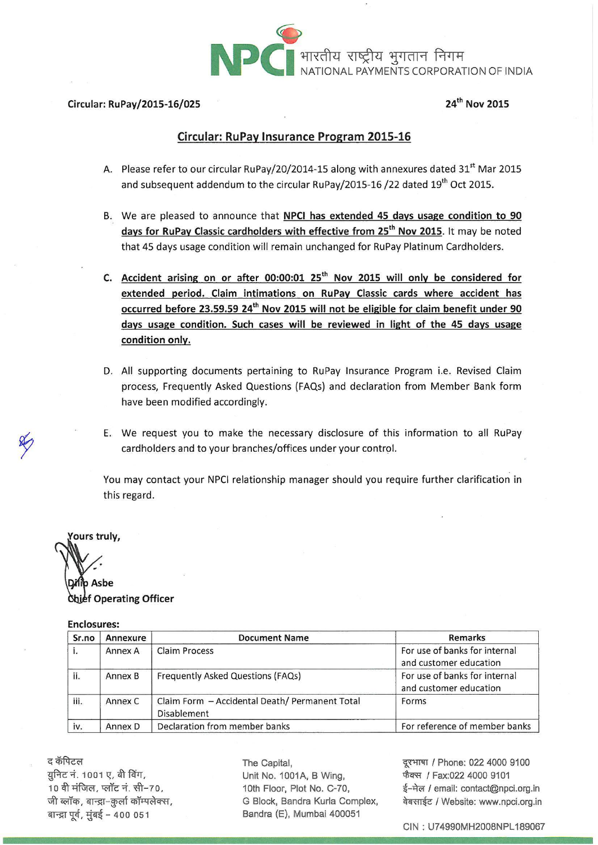

#### Circular: RuPay/2015-16/025

#### 24<sup>th</sup> Nov 2015

#### Circular: RuPay Insurance Program 2015-16

- A. Please refer to our circular RuPay/20/2014-15 along with annexures dated 31<sup>st</sup> Mar 2015 and subsequent addendum to the circular RuPay/2015-16 /22 dated 19<sup>th</sup> Oct 2015.
- B. We are pleased to announce that NPCI has extended 45 days usage condition to 90 days for RuPay Classic cardholders with effective from 25<sup>th</sup> Nov 2015. It may be noted that 45 days usage condition will remain unchanged for RuPay Platinum Cardholders.
- C. Accident arising on or after 00:00:01 25<sup>th</sup> Nov 2015 will only be considered for extended period. Claim intimations on RuPay Classic cards where accident has occurred before 23.59.59 24<sup>th</sup> Nov 2015 will not be eligible for claim benefit under 90 days usage condition. Such cases will be reviewed in light of the 45 days usage condition only.
- D. All supporting documents pertaining to RuPay Insurance Program i.e. Revised Claim process, Frequently Asked Questions (FAQs) and declaration from Member Bank form have been modified accordingly.
- E. We request you to make the necessary disclosure of this information to all RuPay cardholders and to your branches/offices under your control.

You may contact your NPCI relationship manager should you require further clarification in this regard.

'ours truly, Asbe **Shief Operating Officer** 

#### **Enclosures**

| Sr.no | Annexure | <b>Document Name</b>                                                 | <b>Remarks</b>                                          |
|-------|----------|----------------------------------------------------------------------|---------------------------------------------------------|
|       | Annex A  | Claim Process                                                        | For use of banks for internal<br>and customer education |
| ii.   | Annex B  | Frequently Asked Questions (FAQs)                                    | For use of banks for internal<br>and customer education |
| iii.  | Annex C  | Claim Form - Accidental Death/ Permanent Total<br><b>Disablement</b> | Forms                                                   |
| iv.   | Annex D  | Declaration from member banks                                        | For reference of member banks                           |

द कॅपिटल युनिट नं. 1001 ए, बी विंग, 10 वी मंजिल, प्लॉट नं. सी-70, जी ब्लॉक, बान्द्रा-क़ुर्ला कॉम्पलेक्स, बान्द्रा पूर्व, मुंबई - 400 051

The Capital, Unit No. 1001A, B Wing, 10th Floor, Plot No. C-70, G Block, Bandra Kurla Complex, Bandra (E), Mumbai 400051

दूरभाषा / Phone: 022 4000 9100 फैक्स / Fax:022 4000 9101 ई-मेल / email: contact@npci.org.in वेबसाईट / Website: www.npci.org.in

CIN: U74990MH2008NPL189067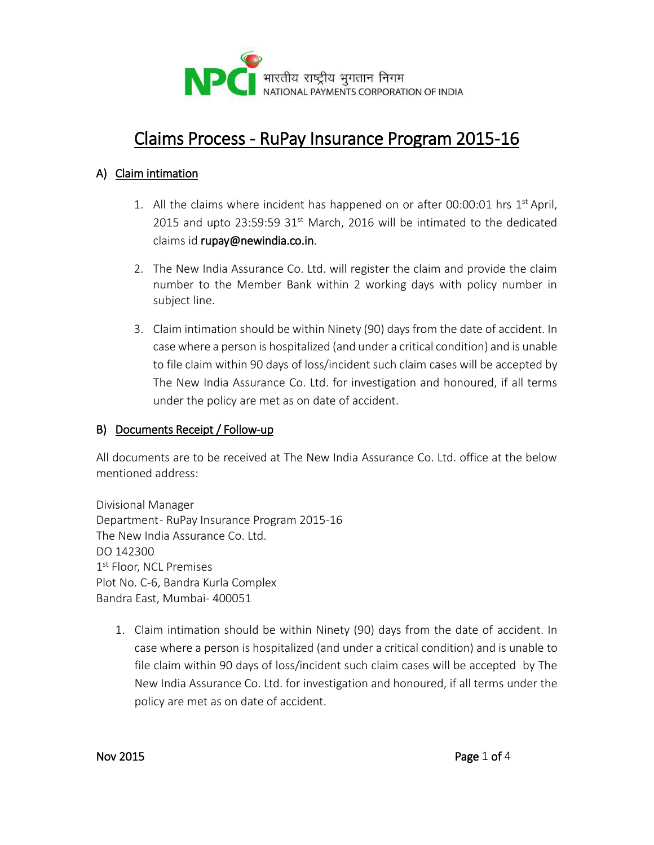

# Claims Process - RuPay Insurance Program 2015-16

#### A) Claim intimation

- 1. All the claims where incident has happened on or after 00:00:01 hrs 1st April, 2015 and upto 23:59:59 31 $st$  March, 2016 will be intimated to the dedicated claims id rupay@newindia.co.in.
- 2. The New India Assurance Co. Ltd. will register the claim and provide the claim number to the Member Bank within 2 working days with policy number in subject line.
- 3. Claim intimation should be within Ninety (90) days from the date of accident. In case where a person is hospitalized (and under a critical condition) and is unable to file claim within 90 days of loss/incident such claim cases will be accepted by The New India Assurance Co. Ltd. for investigation and honoured, if all terms under the policy are met as on date of accident.

#### B) Documents Receipt / Follow-up

All documents are to be received at The New India Assurance Co. Ltd. office at the below mentioned address:

Divisional Manager Department - RuPay Insurance Program 2015-16 The New India Assurance Co. Ltd. DO 142300 1<sup>st</sup> Floor, NCL Premises Plot No. C-6, Bandra Kurla Complex Bandra East, Mumbai- 400051

1. Claim intimation should be within Ninety (90) days from the date of accident. In case where a person is hospitalized (and under a critical condition) and is unable to file claim within 90 days of loss/incident such claim cases will be accepted by The New India Assurance Co. Ltd. for investigation and honoured, if all terms under the policy are met as on date of accident.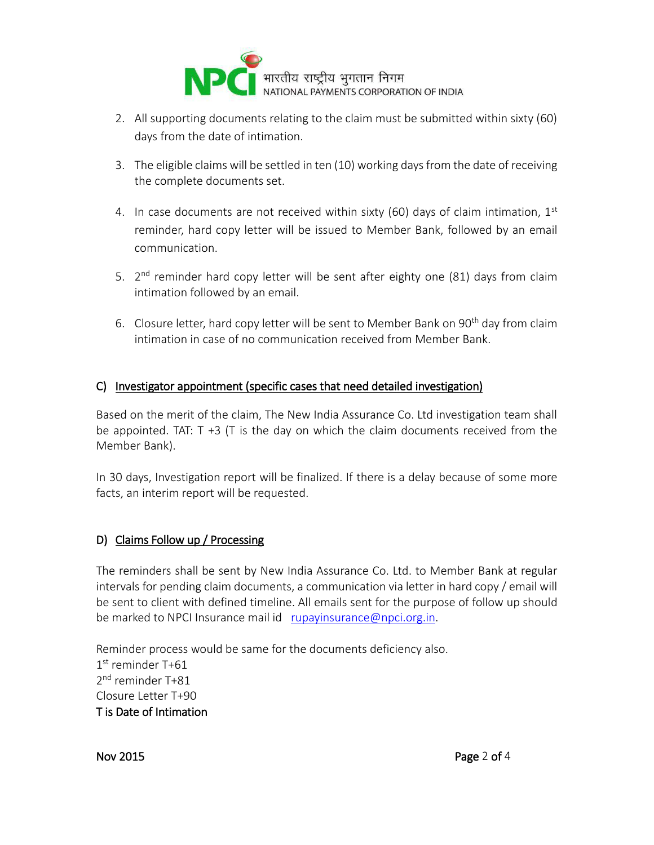

- 2. All supporting documents relating to the claim must be submitted within sixty (60) days from the date of intimation.
- 3. The eligible claims will be settled in ten (10) working days from the date of receiving the complete documents set.
- 4. In case documents are not received within sixty (60) days of claim intimation,  $1<sup>st</sup>$ reminder, hard copy letter will be issued to Member Bank, followed by an email communication.
- 5. 2<sup>nd</sup> reminder hard copy letter will be sent after eighty one (81) days from claim intimation followed by an email.
- 6. Closure letter, hard copy letter will be sent to Member Bank on 90<sup>th</sup> day from claim intimation in case of no communication received from Member Bank.

#### C) Investigator appointment (specific cases that need detailed investigation)

Based on the merit of the claim, The New India Assurance Co. Ltd investigation team shall be appointed. TAT:  $T + 3$  (T is the day on which the claim documents received from the Member Bank).

In 30 days, Investigation report will be finalized. If there is a delay because of some more facts, an interim report will be requested.

#### D) Claims Follow up / Processing

The reminders shall be sent by New India Assurance Co. Ltd. to Member Bank at regular intervals for pending claim documents, a communication via letter in hard copy / email will be sent to client with defined timeline. All emails sent for the purpose of follow up should be marked to NPCI Insurance mail id [rupayinsurance@npci.org.in.](mailto:rupayinsurance@npci.org.in)

Reminder process would be same for the documents deficiency also. 1 st reminder T+61 2<sup>nd</sup> reminder T+81 Closure Letter T+90 T is Date of Intimation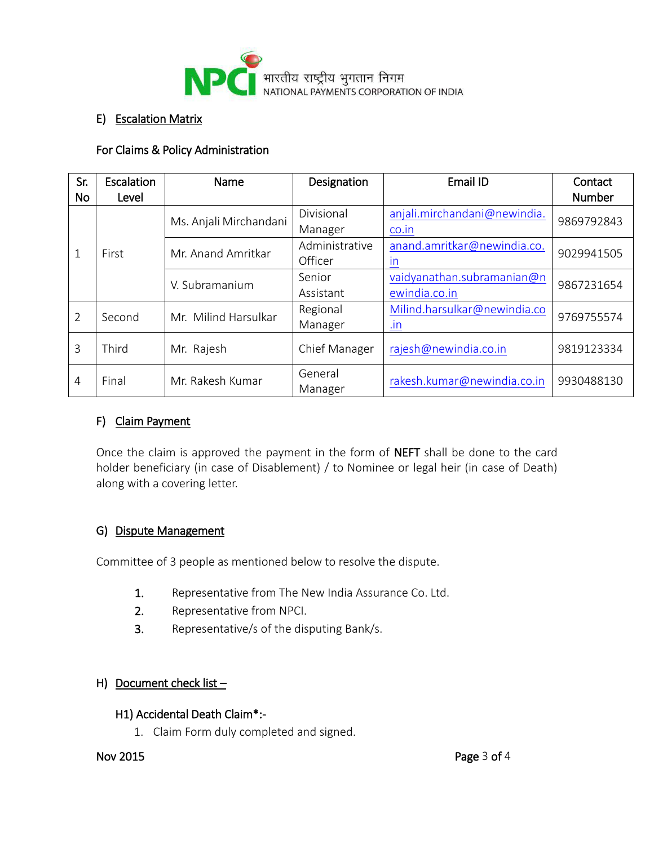

#### E) Escalation Matrix

#### For Claims & Policy Administration

| Sr.<br><b>No</b> | Escalation<br>Level | Name                   | Designation           | Email ID                                                | Contact<br><b>Number</b>                     |            |
|------------------|---------------------|------------------------|-----------------------|---------------------------------------------------------|----------------------------------------------|------------|
|                  |                     | Ms. Anjali Mirchandani | Divisional<br>Manager | anjali.mirchandani@newindia.<br>co.in                   | 9869792843                                   |            |
|                  |                     | First                  | Mr. Anand Amritkar    | Administrative<br>Officer                               | anand.amritkar@newindia.co.<br>$\mathsf{In}$ | 9029941505 |
|                  |                     | V. Subramanium         | Senior<br>Assistant   | vaidyanathan.subramanian@n<br>ewindia.co.in             | 9867231654                                   |            |
| $\mathcal{P}$    | Second              | Mr. Milind Harsulkar   | Regional<br>Manager   | Milind.harsulkar@newindia.co<br>$\mathsf{I} \mathsf{n}$ | 9769755574                                   |            |
| 3                | Third               | Mr. Rajesh             | Chief Manager         | rajesh@newindia.co.in                                   | 9819123334                                   |            |
| $\overline{4}$   | Final               | Mr. Rakesh Kumar       | General<br>Manager    | rakesh.kumar@newindia.co.in                             | 9930488130                                   |            |

#### F) Claim Payment

Once the claim is approved the payment in the form of NEFT shall be done to the card holder beneficiary (in case of Disablement) / to Nominee or legal heir (in case of Death) along with a covering letter.

#### G) Dispute Management

Committee of 3 people as mentioned below to resolve the dispute.

- 1. Representative from The New India Assurance Co. Ltd.
- 2. Representative from NPCI.
- 3. Representative/s of the disputing Bank/s.

#### H) Document check list  $-$

#### H1) Accidental Death Claim\*:-

1. Claim Form duly completed and signed.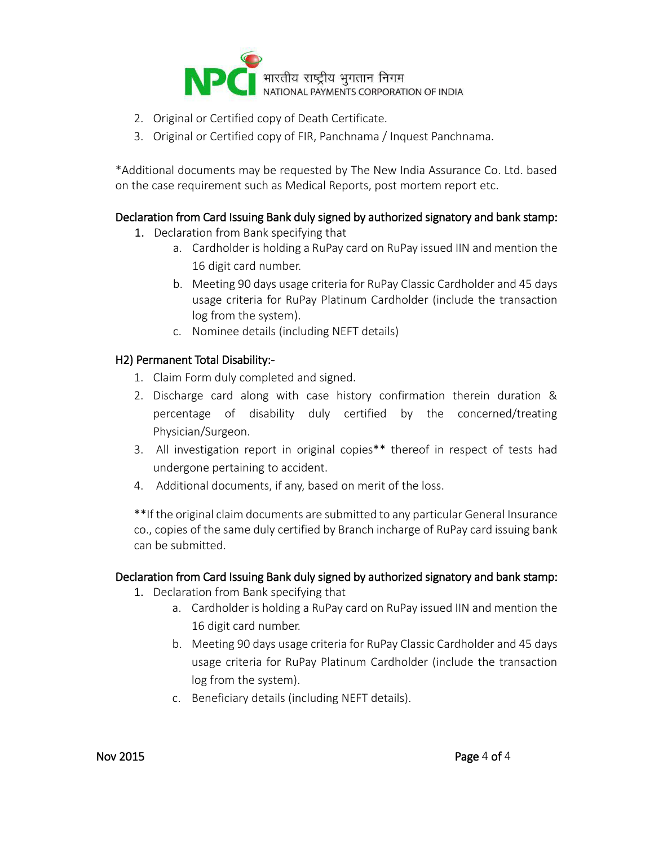

- 2. Original or Certified copy of Death Certificate.
- 3. Original or Certified copy of FIR, Panchnama / Inquest Panchnama.

\*Additional documents may be requested by The New India Assurance Co. Ltd. based on the case requirement such as Medical Reports, post mortem report etc.

#### Declaration from Card Issuing Bank duly signed by authorized signatory and bank stamp:

- 1. Declaration from Bank specifying that
	- a. Cardholder is holding a RuPay card on RuPay issued IIN and mention the 16 digit card number.
	- b. Meeting 90 days usage criteria for RuPay Classic Cardholder and 45 days usage criteria for RuPay Platinum Cardholder (include the transaction log from the system).
	- c. Nominee details (including NEFT details)

#### H2) Permanent Total Disability:-

- 1. Claim Form duly completed and signed.
- 2. Discharge card along with case history confirmation therein duration & percentage of disability duly certified by the concerned/treating Physician/Surgeon.
- 3. All investigation report in original copies\*\* thereof in respect of tests had undergone pertaining to accident.
- 4. Additional documents, if any, based on merit of the loss.

\*\*If the original claim documents are submitted to any particular General Insurance co., copies of the same duly certified by Branch incharge of RuPay card issuing bank can be submitted.

#### Declaration from Card Issuing Bank duly signed by authorized signatory and bank stamp:

- 1. Declaration from Bank specifying that
	- a. Cardholder is holding a RuPay card on RuPay issued IIN and mention the 16 digit card number.
	- b. Meeting 90 days usage criteria for RuPay Classic Cardholder and 45 days usage criteria for RuPay Platinum Cardholder (include the transaction log from the system).
	- c. Beneficiary details (including NEFT details).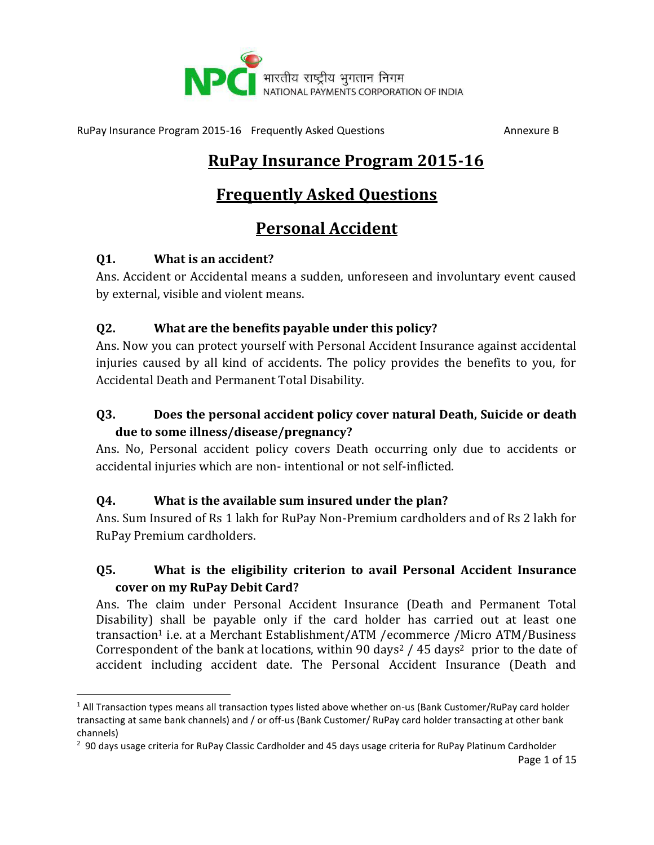

# **RuPay Insurance Program 2015-16**

# **Frequently Asked Questions**

# **Personal Accident**

#### **Q1. What is an accident?**

l

Ans. Accident or Accidental means a sudden, unforeseen and involuntary event caused by external, visible and violent means.

#### **Q2. What are the benefits payable under this policy?**

Ans. Now you can protect yourself with Personal Accident Insurance against accidental injuries caused by all kind of accidents. The policy provides the benefits to you, for Accidental Death and Permanent Total Disability.

## **Q3. Does the personal accident policy cover natural Death, Suicide or death due to some illness/disease/pregnancy?**

Ans. No, Personal accident policy covers Death occurring only due to accidents or accidental injuries which are non- intentional or not self-inflicted.

#### **Q4. What is the available sum insured under the plan?**

Ans. Sum Insured of Rs 1 lakh for RuPay Non-Premium cardholders and of Rs 2 lakh for RuPay Premium cardholders.

## **Q5. What is the eligibility criterion to avail Personal Accident Insurance cover on my RuPay Debit Card?**

Ans. The claim under Personal Accident Insurance (Death and Permanent Total Disability) shall be payable only if the card holder has carried out at least one transaction<sup>1</sup> i.e. at a Merchant Establishment/ATM /ecommerce /Micro ATM/Business Correspondent of the bank at locations, within 90 days<sup>2</sup> / 45 days<sup>2</sup> prior to the date of accident including accident date. The Personal Accident Insurance (Death and

 $1$  All Transaction types means all transaction types listed above whether on-us (Bank Customer/RuPay card holder transacting at same bank channels) and / or off-us (Bank Customer/ RuPay card holder transacting at other bank channels)

<sup>&</sup>lt;sup>2</sup> 90 days usage criteria for RuPay Classic Cardholder and 45 days usage criteria for RuPay Platinum Cardholder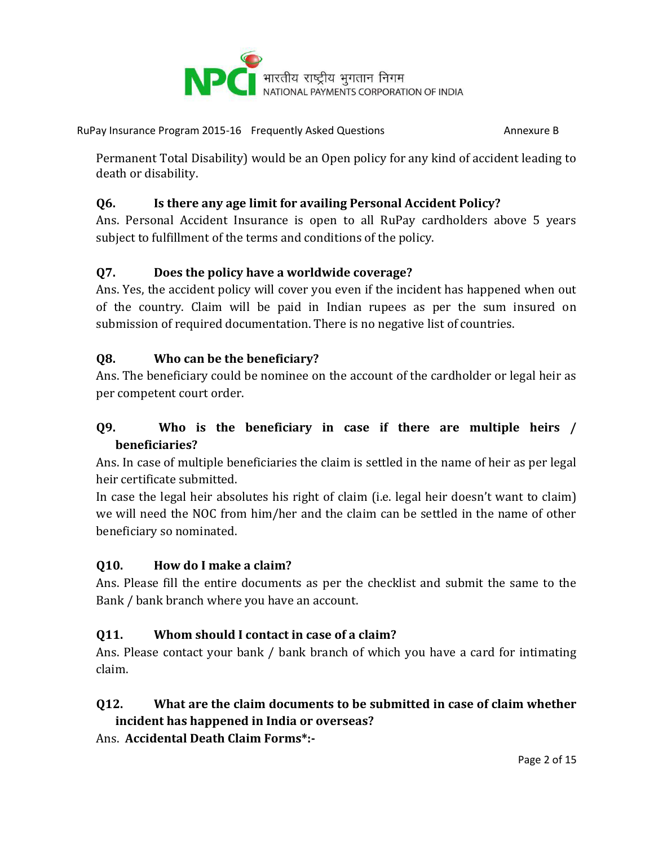

Permanent Total Disability) would be an Open policy for any kind of accident leading to death or disability.

#### **Q6. Is there any age limit for availing Personal Accident Policy?**

Ans. Personal Accident Insurance is open to all RuPay cardholders above 5 years subject to fulfillment of the terms and conditions of the policy.

#### **Q7. Does the policy have a worldwide coverage?**

Ans. Yes, the accident policy will cover you even if the incident has happened when out of the country. Claim will be paid in Indian rupees as per the sum insured on submission of required documentation. There is no negative list of countries.

#### **Q8. Who can be the beneficiary?**

Ans. The beneficiary could be nominee on the account of the cardholder or legal heir as per competent court order.

#### **Q9. Who is the beneficiary in case if there are multiple heirs / beneficiaries?**

Ans. In case of multiple beneficiaries the claim is settled in the name of heir as per legal heir certificate submitted.

In case the legal heir absolutes his right of claim (i.e. legal heir doesn't want to claim) we will need the NOC from him/her and the claim can be settled in the name of other beneficiary so nominated.

#### **Q10. How do I make a claim?**

Ans. Please fill the entire documents as per the checklist and submit the same to the Bank / bank branch where you have an account.

#### **Q11. Whom should I contact in case of a claim?**

Ans. Please contact your bank / bank branch of which you have a card for intimating claim.

# **Q12. What are the claim documents to be submitted in case of claim whether**

**incident has happened in India or overseas?**

Ans. **Accidental Death Claim Forms\*:-**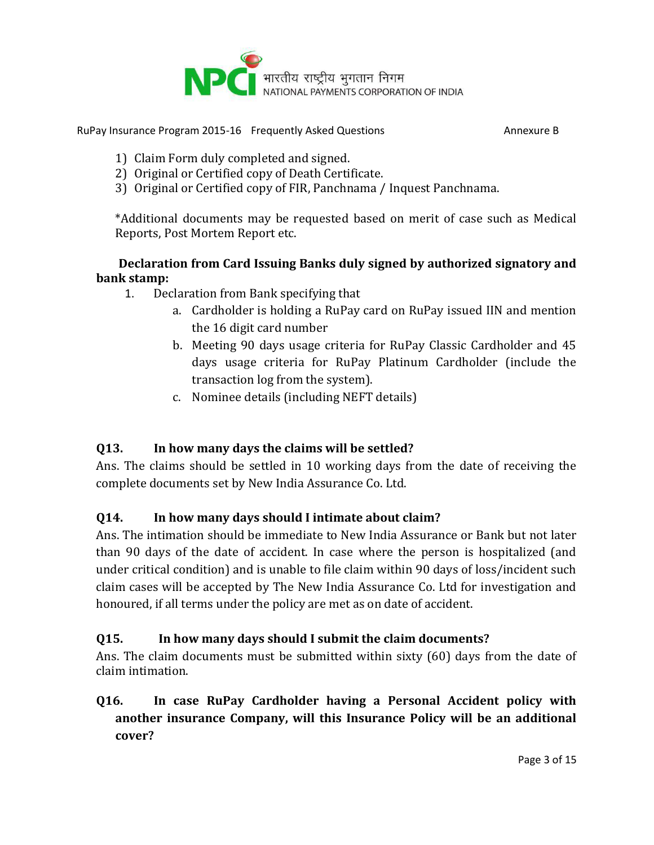

- 1) Claim Form duly completed and signed.
- 2) Original or Certified copy of Death Certificate.
- 3) Original or Certified copy of FIR, Panchnama / Inquest Panchnama.

\*Additional documents may be requested based on merit of case such as Medical Reports, Post Mortem Report etc.

#### **Declaration from Card Issuing Banks duly signed by authorized signatory and bank stamp:**

- 1. Declaration from Bank specifying that
	- a. Cardholder is holding a RuPay card on RuPay issued IIN and mention the 16 digit card number
	- b. Meeting 90 days usage criteria for RuPay Classic Cardholder and 45 days usage criteria for RuPay Platinum Cardholder (include the transaction log from the system).
	- c. Nominee details (including NEFT details)

## **Q13. In how many days the claims will be settled?**

Ans. The claims should be settled in 10 working days from the date of receiving the complete documents set by New India Assurance Co. Ltd.

## **Q14. In how many days should I intimate about claim?**

Ans. The intimation should be immediate to New India Assurance or Bank but not later than 90 days of the date of accident. In case where the person is hospitalized (and under critical condition) and is unable to file claim within 90 days of loss/incident such claim cases will be accepted by The New India Assurance Co. Ltd for investigation and honoured, if all terms under the policy are met as on date of accident.

## **Q15. In how many days should I submit the claim documents?**

Ans. The claim documents must be submitted within sixty (60) days from the date of claim intimation.

#### **Q16. In case RuPay Cardholder having a Personal Accident policy with another insurance Company, will this Insurance Policy will be an additional cover?**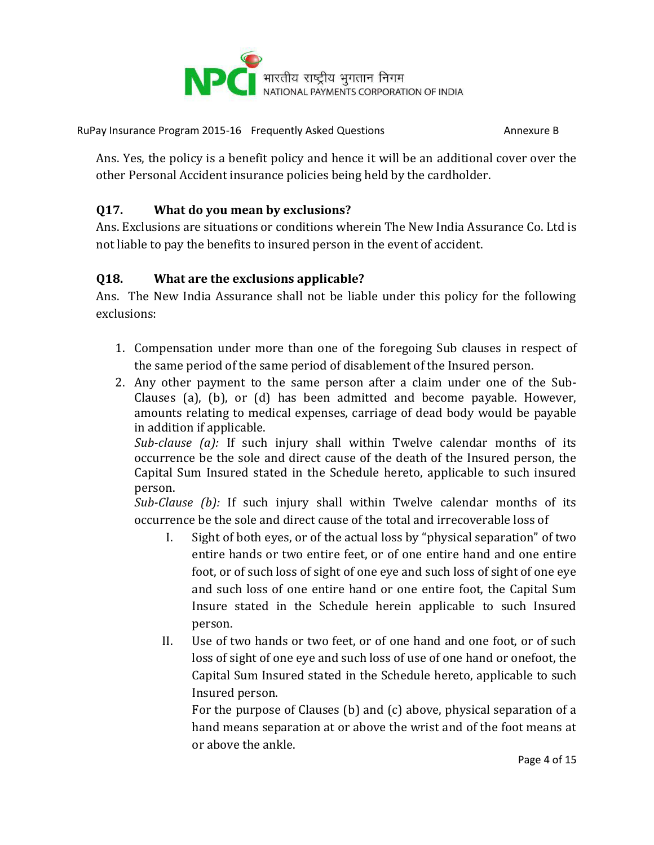

Ans. Yes, the policy is a benefit policy and hence it will be an additional cover over the other Personal Accident insurance policies being held by the cardholder.

#### **Q17. What do you mean by exclusions?**

Ans. Exclusions are situations or conditions wherein The New India Assurance Co. Ltd is not liable to pay the benefits to insured person in the event of accident.

#### **Q18. What are the exclusions applicable?**

Ans. The New India Assurance shall not be liable under this policy for the following exclusions:

- 1. Compensation under more than one of the foregoing Sub clauses in respect of the same period of the same period of disablement of the Insured person.
- 2. Any other payment to the same person after a claim under one of the Sub-Clauses (a), (b), or (d) has been admitted and become payable. However, amounts relating to medical expenses, carriage of dead body would be payable in addition if applicable.

*Sub-clause (a):* If such injury shall within Twelve calendar months of its occurrence be the sole and direct cause of the death of the Insured person, the Capital Sum Insured stated in the Schedule hereto, applicable to such insured person.

*Sub-Clause (b):* If such injury shall within Twelve calendar months of its occurrence be the sole and direct cause of the total and irrecoverable loss of

- I. Sight of both eyes, or of the actual loss by "physical separation" of two entire hands or two entire feet, or of one entire hand and one entire foot, or of such loss of sight of one eye and such loss of sight of one eye and such loss of one entire hand or one entire foot, the Capital Sum Insure stated in the Schedule herein applicable to such Insured person.
- II. Use of two hands or two feet, or of one hand and one foot, or of such loss of sight of one eye and such loss of use of one hand or onefoot, the Capital Sum Insured stated in the Schedule hereto, applicable to such Insured person.

For the purpose of Clauses (b) and (c) above, physical separation of a hand means separation at or above the wrist and of the foot means at or above the ankle.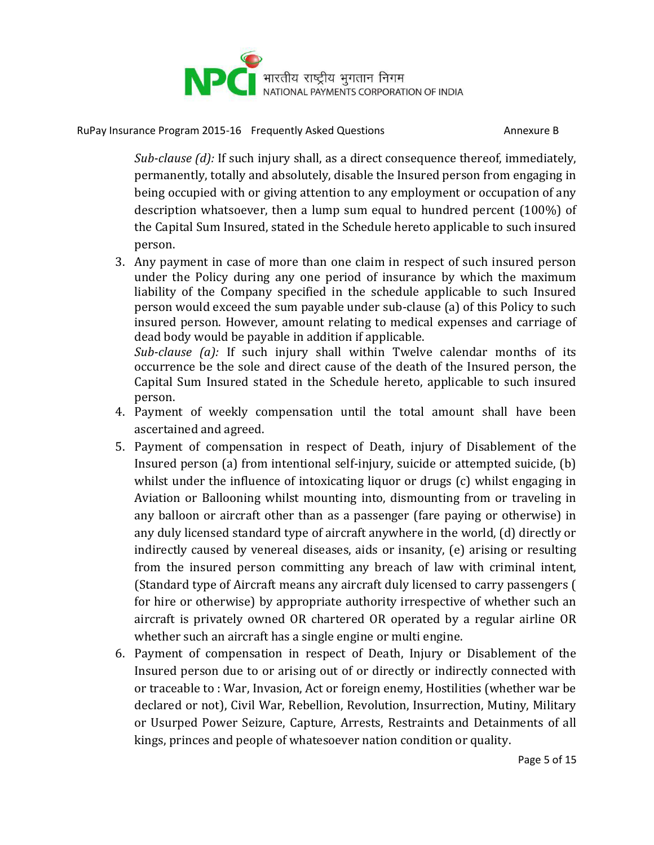

*Sub-clause (d):* If such injury shall, as a direct consequence thereof, immediately, permanently, totally and absolutely, disable the Insured person from engaging in being occupied with or giving attention to any employment or occupation of any description whatsoever, then a lump sum equal to hundred percent (100%) of the Capital Sum Insured, stated in the Schedule hereto applicable to such insured person.

3. Any payment in case of more than one claim in respect of such insured person under the Policy during any one period of insurance by which the maximum liability of the Company specified in the schedule applicable to such Insured person would exceed the sum payable under sub-clause (a) of this Policy to such insured person. However, amount relating to medical expenses and carriage of dead body would be payable in addition if applicable.

*Sub-clause (a):* If such injury shall within Twelve calendar months of its occurrence be the sole and direct cause of the death of the Insured person, the Capital Sum Insured stated in the Schedule hereto, applicable to such insured person.

- 4. Payment of weekly compensation until the total amount shall have been ascertained and agreed.
- 5. Payment of compensation in respect of Death, injury of Disablement of the Insured person (a) from intentional self-injury, suicide or attempted suicide, (b) whilst under the influence of intoxicating liquor or drugs (c) whilst engaging in Aviation or Ballooning whilst mounting into, dismounting from or traveling in any balloon or aircraft other than as a passenger (fare paying or otherwise) in any duly licensed standard type of aircraft anywhere in the world, (d) directly or indirectly caused by venereal diseases, aids or insanity, (e) arising or resulting from the insured person committing any breach of law with criminal intent, (Standard type of Aircraft means any aircraft duly licensed to carry passengers ( for hire or otherwise) by appropriate authority irrespective of whether such an aircraft is privately owned OR chartered OR operated by a regular airline OR whether such an aircraft has a single engine or multi engine.
- 6. Payment of compensation in respect of Death, Injury or Disablement of the Insured person due to or arising out of or directly or indirectly connected with or traceable to : War, Invasion, Act or foreign enemy, Hostilities (whether war be declared or not), Civil War, Rebellion, Revolution, Insurrection, Mutiny, Military or Usurped Power Seizure, Capture, Arrests, Restraints and Detainments of all kings, princes and people of whatesoever nation condition or quality.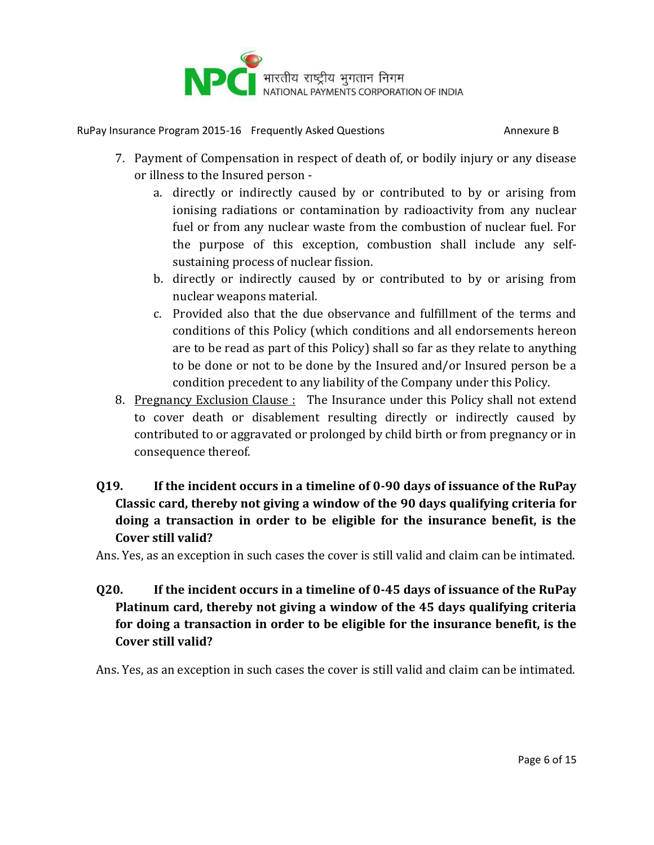

- 7. Payment of Compensation in respect of death of, or bodily injury or any disease or illness to the Insured person
	- a. directly or indirectly caused by or contributed to by or arising from ionising radiations or contamination by radioactivity from any nuclear fuel or from any nuclear waste from the combustion of nuclear fuel. For the purpose of this exception, combustion shall include any selfsustaining process of nuclear fission.
	- b. directly or indirectly caused by or contributed to by or arising from nuclear weapons material.
	- c. Provided also that the due observance and fulfillment of the terms and conditions of this Policy (which conditions and all endorsements hereon are to be read as part of this Policy) shall so far as they relate to anything to be done or not to be done by the Insured and/or Insured person be a condition precedent to any liability of the Company under this Policy.
- 8. Pregnancy Exclusion Clause : The Insurance under this Policy shall not extend to cover death or disablement resulting directly or indirectly caused by contributed to or aggravated or prolonged by child birth or from pregnancy or in consequence thereof.

## **Q19. If the incident occurs in a timeline of 0-90 days of issuance of the RuPay Classic card, thereby not giving a window of the 90 days qualifying criteria for doing a transaction in order to be eligible for the insurance benefit, is the Cover still valid?**

Ans. Yes, as an exception in such cases the cover is still valid and claim can be intimated.

## **Q20. If the incident occurs in a timeline of 0-45 days of issuance of the RuPay Platinum card, thereby not giving a window of the 45 days qualifying criteria for doing a transaction in order to be eligible for the insurance benefit, is the Cover still valid?**

Ans. Yes, as an exception in such cases the cover is still valid and claim can be intimated.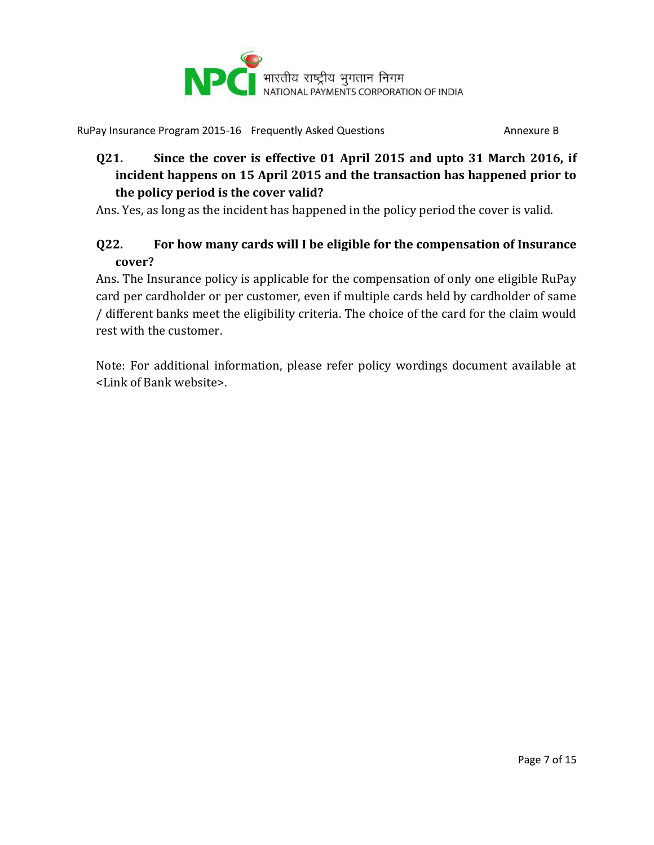

## **Q21. Since the cover is effective 01 April 2015 and upto 31 March 2016, if incident happens on 15 April 2015 and the transaction has happened prior to the policy period is the cover valid?**

Ans. Yes, as long as the incident has happened in the policy period the cover is valid.

## **Q22. For how many cards will I be eligible for the compensation of Insurance cover?**

Ans. The Insurance policy is applicable for the compensation of only one eligible RuPay card per cardholder or per customer, even if multiple cards held by cardholder of same / different banks meet the eligibility criteria. The choice of the card for the claim would rest with the customer.

Note: For additional information, please refer policy wordings document available at <Link of Bank website>.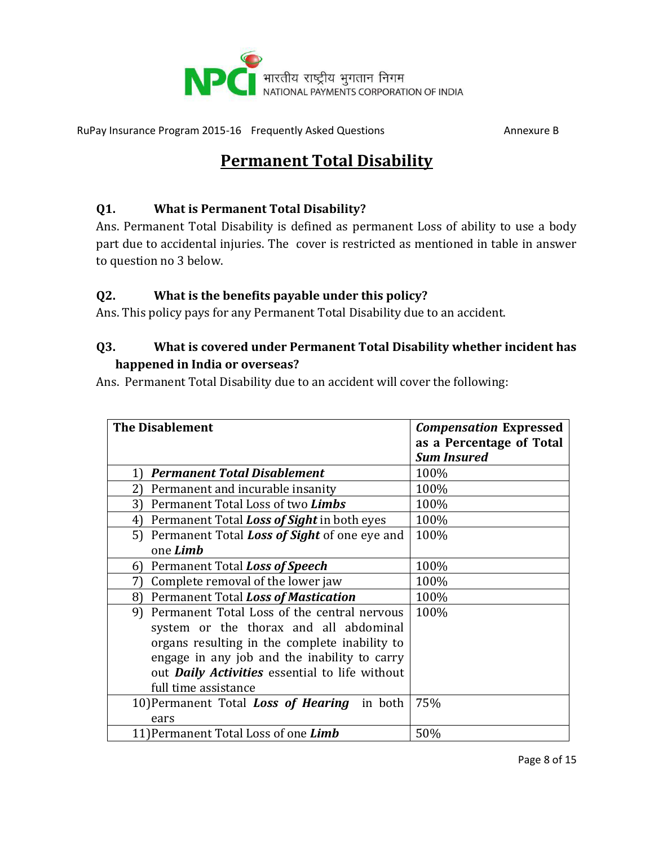

# **Permanent Total Disability**

#### **Q1. What is Permanent Total Disability?**

Ans. Permanent Total Disability is defined as permanent Loss of ability to use a body part due to accidental injuries. The cover is restricted as mentioned in table in answer to question no 3 below.

#### **Q2. What is the benefits payable under this policy?**

Ans. This policy pays for any Permanent Total Disability due to an accident.

#### **Q3. What is covered under Permanent Total Disability whether incident has happened in India or overseas?**

Ans. Permanent Total Disability due to an accident will cover the following:

| <b>The Disablement</b>                                 | <b>Compensation Expressed</b> |
|--------------------------------------------------------|-------------------------------|
|                                                        | as a Percentage of Total      |
|                                                        | <b>Sum Insured</b>            |
| <b>Permanent Total Disablement</b><br>1)               | 100%                          |
| Permanent and incurable insanity<br>2)                 | 100%                          |
| Permanent Total Loss of two Limbs<br>3)                | 100%                          |
| Permanent Total Loss of Sight in both eyes<br>4)       | 100%                          |
| 5) Permanent Total <b>Loss of Sight</b> of one eye and | 100%                          |
| one Limb                                               |                               |
| Permanent Total Loss of Speech<br>6)                   | 100%                          |
| Complete removal of the lower jaw<br>7)                | 100%                          |
| Permanent Total Loss of Mastication<br>8)              | 100%                          |
| Permanent Total Loss of the central nervous<br>9)      | 100%                          |
| system or the thorax and all abdominal                 |                               |
| organs resulting in the complete inability to          |                               |
| engage in any job and the inability to carry           |                               |
| out <b>Daily Activities</b> essential to life without  |                               |
| full time assistance                                   |                               |
| 10) Permanent Total Loss of Hearing in both            | 75%                           |
| ears                                                   |                               |
| 11) Permanent Total Loss of one Limb                   | 50%                           |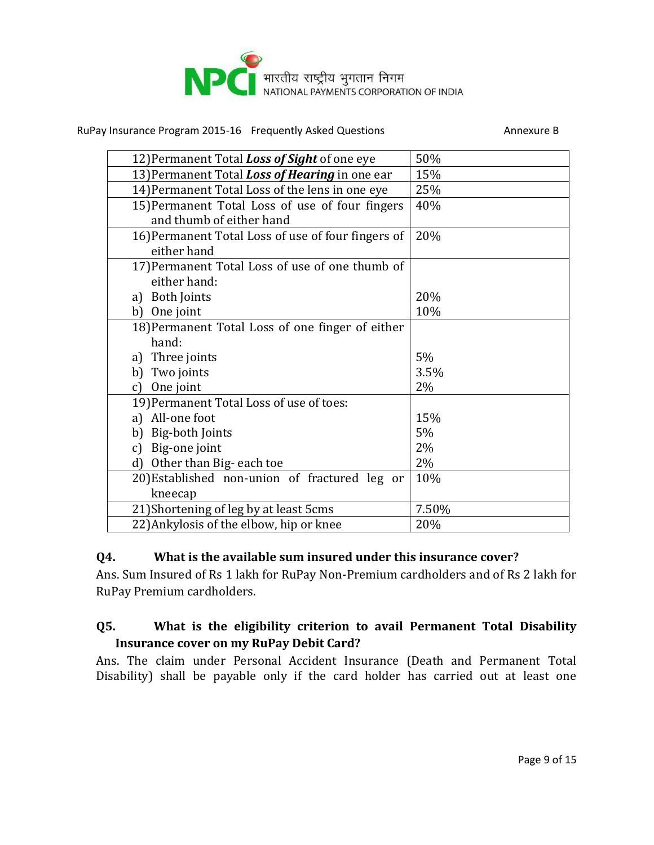

| 12) Permanent Total Loss of Sight of one eye       | 50%   |
|----------------------------------------------------|-------|
| 13) Permanent Total Loss of Hearing in one ear     | 15%   |
| 14) Permanent Total Loss of the lens in one eye    | 25%   |
| 15) Permanent Total Loss of use of four fingers    | 40%   |
| and thumb of either hand                           |       |
| 16) Permanent Total Loss of use of four fingers of | 20%   |
| either hand                                        |       |
| 17) Permanent Total Loss of use of one thumb of    |       |
| either hand:                                       |       |
| a) Both Joints                                     | 20%   |
| One joint<br>b)                                    | 10%   |
| 18) Permanent Total Loss of one finger of either   |       |
| hand:                                              |       |
| Three joints<br>a)                                 | 5%    |
| Two joints<br>b)                                   | 3.5%  |
| One joint<br>c)                                    | 2%    |
| 19) Permanent Total Loss of use of toes:           |       |
| a) All-one foot                                    | 15%   |
| Big-both Joints<br>b)                              | 5%    |
| Big-one joint<br>c)                                | 2%    |
| Other than Big-each toe<br>d)                      | 2%    |
| 20) Established non-union of fractured leg or      | 10%   |
| kneecap                                            |       |
| 21) Shortening of leg by at least 5cms             | 7.50% |
| 22) Ankylosis of the elbow, hip or knee            | 20%   |

#### **Q4. What is the available sum insured under this insurance cover?**

Ans. Sum Insured of Rs 1 lakh for RuPay Non-Premium cardholders and of Rs 2 lakh for RuPay Premium cardholders.

#### **Q5. What is the eligibility criterion to avail Permanent Total Disability Insurance cover on my RuPay Debit Card?**

Ans. The claim under Personal Accident Insurance (Death and Permanent Total Disability) shall be payable only if the card holder has carried out at least one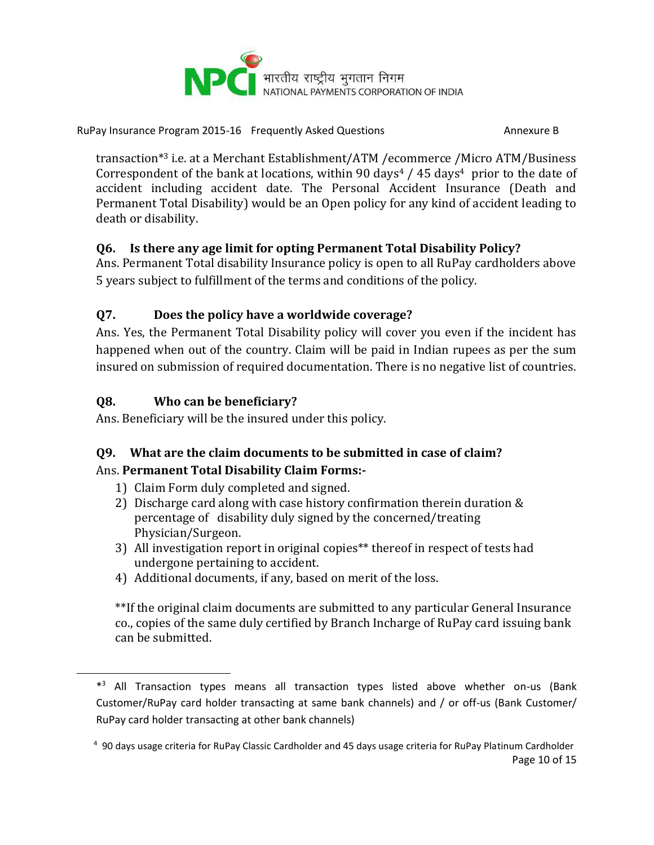

transaction\*<sup>3</sup> i.e. at a Merchant Establishment/ATM /ecommerce /Micro ATM/Business Correspondent of the bank at locations, within 90 days<sup>4</sup> / 45 days<sup>4</sup> prior to the date of accident including accident date. The Personal Accident Insurance (Death and Permanent Total Disability) would be an Open policy for any kind of accident leading to death or disability.

#### **Q6. Is there any age limit for opting Permanent Total Disability Policy?**

Ans. Permanent Total disability Insurance policy is open to all RuPay cardholders above 5 years subject to fulfillment of the terms and conditions of the policy.

## **Q7. Does the policy have a worldwide coverage?**

Ans. Yes, the Permanent Total Disability policy will cover you even if the incident has happened when out of the country. Claim will be paid in Indian rupees as per the sum insured on submission of required documentation. There is no negative list of countries.

## **Q8. Who can be beneficiary?**

 $\overline{\phantom{a}}$ 

Ans. Beneficiary will be the insured under this policy.

#### **Q9. What are the claim documents to be submitted in case of claim?**  Ans. **Permanent Total Disability Claim Forms:-**

- 1) Claim Form duly completed and signed.
- 2) Discharge card along with case history confirmation therein duration & percentage of disability duly signed by the concerned/treating Physician/Surgeon.
- 3) All investigation report in original copies\*\* thereof in respect of tests had undergone pertaining to accident.
- 4) Additional documents, if any, based on merit of the loss.

\*\*If the original claim documents are submitted to any particular General Insurance co., copies of the same duly certified by Branch Incharge of RuPay card issuing bank can be submitted.

<sup>\*</sup> <sup>3</sup> All Transaction types means all transaction types listed above whether on-us (Bank Customer/RuPay card holder transacting at same bank channels) and / or off-us (Bank Customer/ RuPay card holder transacting at other bank channels)

Page 10 of 15 <sup>4</sup> 90 days usage criteria for RuPay Classic Cardholder and 45 days usage criteria for RuPay Platinum Cardholder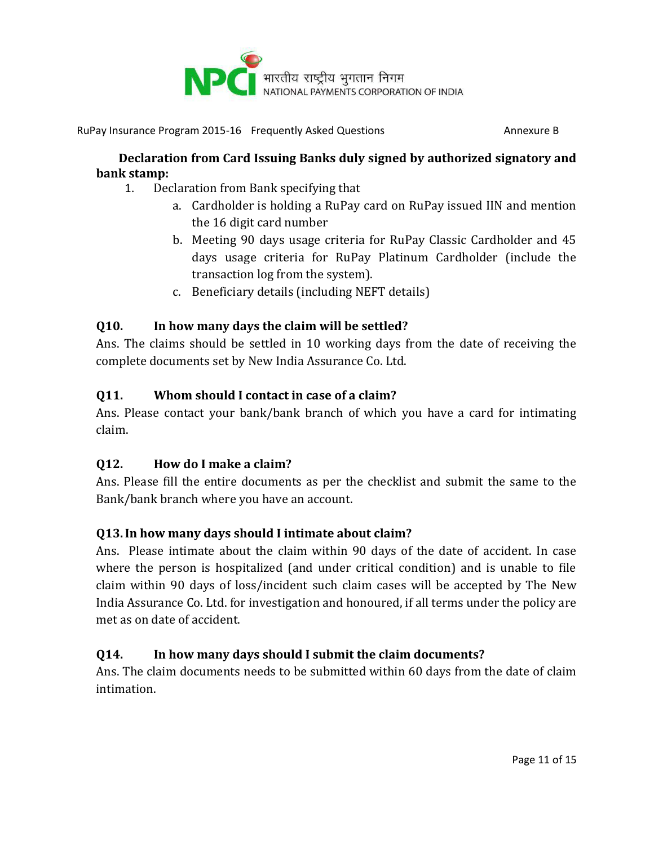

#### **Declaration from Card Issuing Banks duly signed by authorized signatory and bank stamp:**

- 1. Declaration from Bank specifying that
	- a. Cardholder is holding a RuPay card on RuPay issued IIN and mention the 16 digit card number
	- b. Meeting 90 days usage criteria for RuPay Classic Cardholder and 45 days usage criteria for RuPay Platinum Cardholder (include the transaction log from the system).
	- c. Beneficiary details (including NEFT details)

#### **Q10. In how many days the claim will be settled?**

Ans. The claims should be settled in 10 working days from the date of receiving the complete documents set by New India Assurance Co. Ltd.

#### **Q11. Whom should I contact in case of a claim?**

Ans. Please contact your bank/bank branch of which you have a card for intimating claim.

#### **Q12. How do I make a claim?**

Ans. Please fill the entire documents as per the checklist and submit the same to the Bank/bank branch where you have an account.

## **Q13.In how many days should I intimate about claim?**

Ans. Please intimate about the claim within 90 days of the date of accident. In case where the person is hospitalized (and under critical condition) and is unable to file claim within 90 days of loss/incident such claim cases will be accepted by The New India Assurance Co. Ltd. for investigation and honoured, if all terms under the policy are met as on date of accident.

## **Q14. In how many days should I submit the claim documents?**

Ans. The claim documents needs to be submitted within 60 days from the date of claim intimation.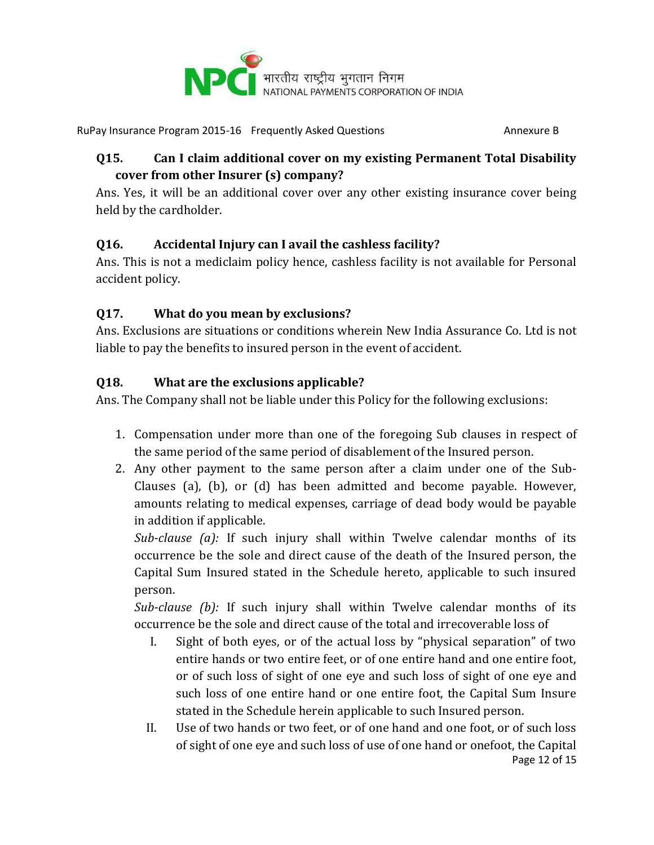

## **Q15. Can I claim additional cover on my existing Permanent Total Disability cover from other Insurer (s) company?**

Ans. Yes, it will be an additional cover over any other existing insurance cover being held by the cardholder.

## **Q16. Accidental Injury can I avail the cashless facility?**

Ans. This is not a mediclaim policy hence, cashless facility is not available for Personal accident policy.

## **Q17. What do you mean by exclusions?**

Ans. Exclusions are situations or conditions wherein New India Assurance Co. Ltd is not liable to pay the benefits to insured person in the event of accident.

## **Q18. What are the exclusions applicable?**

Ans. The Company shall not be liable under this Policy for the following exclusions:

- 1. Compensation under more than one of the foregoing Sub clauses in respect of the same period of the same period of disablement of the Insured person.
- 2. Any other payment to the same person after a claim under one of the Sub-Clauses (a), (b), or (d) has been admitted and become payable. However, amounts relating to medical expenses, carriage of dead body would be payable in addition if applicable.

*Sub-clause (a):* If such injury shall within Twelve calendar months of its occurrence be the sole and direct cause of the death of the Insured person, the Capital Sum Insured stated in the Schedule hereto, applicable to such insured person.

*Sub-clause (b):* If such injury shall within Twelve calendar months of its occurrence be the sole and direct cause of the total and irrecoverable loss of

- I. Sight of both eyes, or of the actual loss by "physical separation" of two entire hands or two entire feet, or of one entire hand and one entire foot, or of such loss of sight of one eye and such loss of sight of one eye and such loss of one entire hand or one entire foot, the Capital Sum Insure stated in the Schedule herein applicable to such Insured person.
- Page 12 of 15 II. Use of two hands or two feet, or of one hand and one foot, or of such loss of sight of one eye and such loss of use of one hand or onefoot, the Capital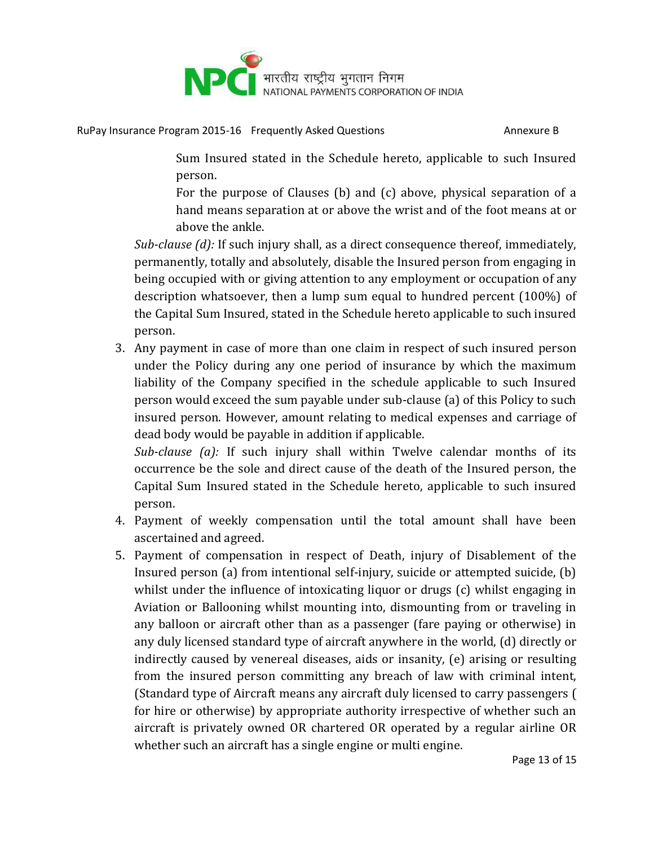

Sum Insured stated in the Schedule hereto, applicable to such Insured person.

For the purpose of Clauses (b) and (c) above, physical separation of a hand means separation at or above the wrist and of the foot means at or above the ankle.

*Sub-clause (d):* If such injury shall, as a direct consequence thereof, immediately, permanently, totally and absolutely, disable the Insured person from engaging in being occupied with or giving attention to any employment or occupation of any description whatsoever, then a lump sum equal to hundred percent (100%) of the Capital Sum Insured, stated in the Schedule hereto applicable to such insured person.

3. Any payment in case of more than one claim in respect of such insured person under the Policy during any one period of insurance by which the maximum liability of the Company specified in the schedule applicable to such Insured person would exceed the sum payable under sub-clause (a) of this Policy to such insured person. However, amount relating to medical expenses and carriage of dead body would be payable in addition if applicable.

*Sub-clause (a):* If such injury shall within Twelve calendar months of its occurrence be the sole and direct cause of the death of the Insured person, the Capital Sum Insured stated in the Schedule hereto, applicable to such insured person.

- 4. Payment of weekly compensation until the total amount shall have been ascertained and agreed.
- 5. Payment of compensation in respect of Death, injury of Disablement of the Insured person (a) from intentional self-injury, suicide or attempted suicide, (b) whilst under the influence of intoxicating liquor or drugs (c) whilst engaging in Aviation or Ballooning whilst mounting into, dismounting from or traveling in any balloon or aircraft other than as a passenger (fare paying or otherwise) in any duly licensed standard type of aircraft anywhere in the world, (d) directly or indirectly caused by venereal diseases, aids or insanity, (e) arising or resulting from the insured person committing any breach of law with criminal intent, (Standard type of Aircraft means any aircraft duly licensed to carry passengers ( for hire or otherwise) by appropriate authority irrespective of whether such an aircraft is privately owned OR chartered OR operated by a regular airline OR whether such an aircraft has a single engine or multi engine.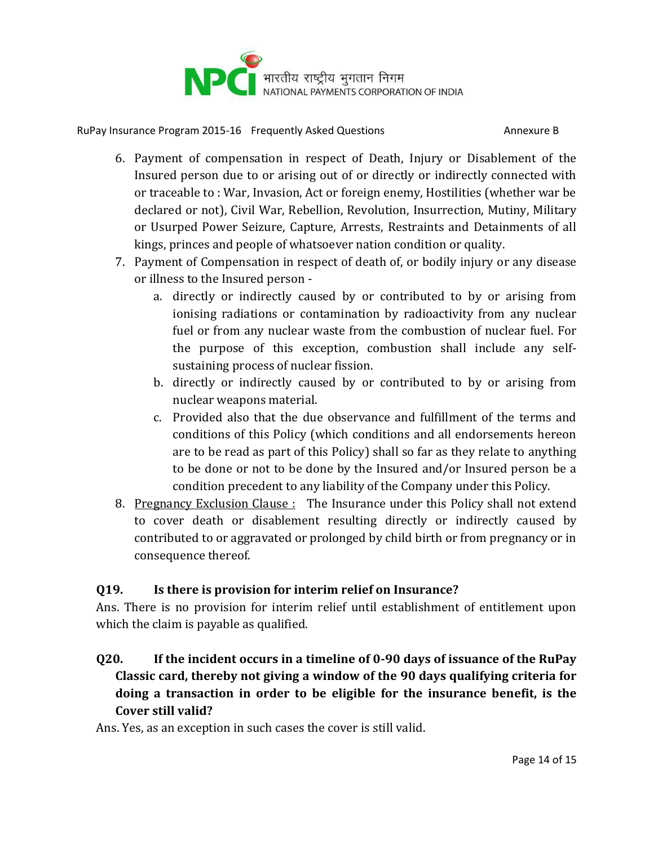

- 6. Payment of compensation in respect of Death, Injury or Disablement of the Insured person due to or arising out of or directly or indirectly connected with or traceable to : War, Invasion, Act or foreign enemy, Hostilities (whether war be declared or not), Civil War, Rebellion, Revolution, Insurrection, Mutiny, Military or Usurped Power Seizure, Capture, Arrests, Restraints and Detainments of all kings, princes and people of whatsoever nation condition or quality.
- 7. Payment of Compensation in respect of death of, or bodily injury or any disease or illness to the Insured person
	- a. directly or indirectly caused by or contributed to by or arising from ionising radiations or contamination by radioactivity from any nuclear fuel or from any nuclear waste from the combustion of nuclear fuel. For the purpose of this exception, combustion shall include any selfsustaining process of nuclear fission.
	- b. directly or indirectly caused by or contributed to by or arising from nuclear weapons material.
	- c. Provided also that the due observance and fulfillment of the terms and conditions of this Policy (which conditions and all endorsements hereon are to be read as part of this Policy) shall so far as they relate to anything to be done or not to be done by the Insured and/or Insured person be a condition precedent to any liability of the Company under this Policy.
- 8. Pregnancy Exclusion Clause: The Insurance under this Policy shall not extend to cover death or disablement resulting directly or indirectly caused by contributed to or aggravated or prolonged by child birth or from pregnancy or in consequence thereof.

## **Q19. Is there is provision for interim relief on Insurance?**

Ans. There is no provision for interim relief until establishment of entitlement upon which the claim is payable as qualified.

## **Q20. If the incident occurs in a timeline of 0-90 days of issuance of the RuPay Classic card, thereby not giving a window of the 90 days qualifying criteria for doing a transaction in order to be eligible for the insurance benefit, is the Cover still valid?**

Ans. Yes, as an exception in such cases the cover is still valid.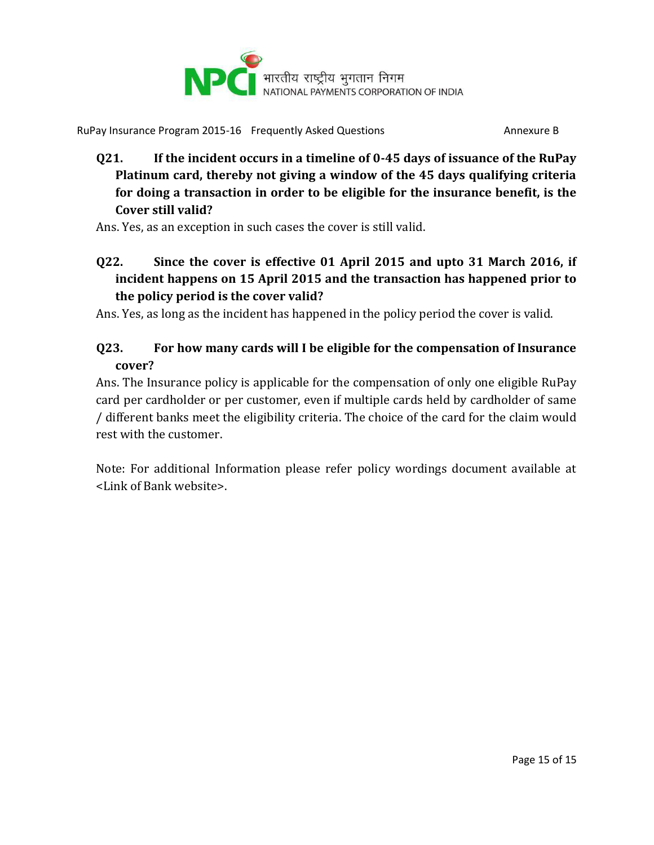

**Q21. If the incident occurs in a timeline of 0-45 days of issuance of the RuPay Platinum card, thereby not giving a window of the 45 days qualifying criteria for doing a transaction in order to be eligible for the insurance benefit, is the Cover still valid?**

Ans. Yes, as an exception in such cases the cover is still valid.

**Q22. Since the cover is effective 01 April 2015 and upto 31 March 2016, if incident happens on 15 April 2015 and the transaction has happened prior to the policy period is the cover valid?**

Ans. Yes, as long as the incident has happened in the policy period the cover is valid.

## **Q23. For how many cards will I be eligible for the compensation of Insurance cover?**

Ans. The Insurance policy is applicable for the compensation of only one eligible RuPay card per cardholder or per customer, even if multiple cards held by cardholder of same / different banks meet the eligibility criteria. The choice of the card for the claim would rest with the customer.

Note: For additional Information please refer policy wordings document available at <Link of Bank website>.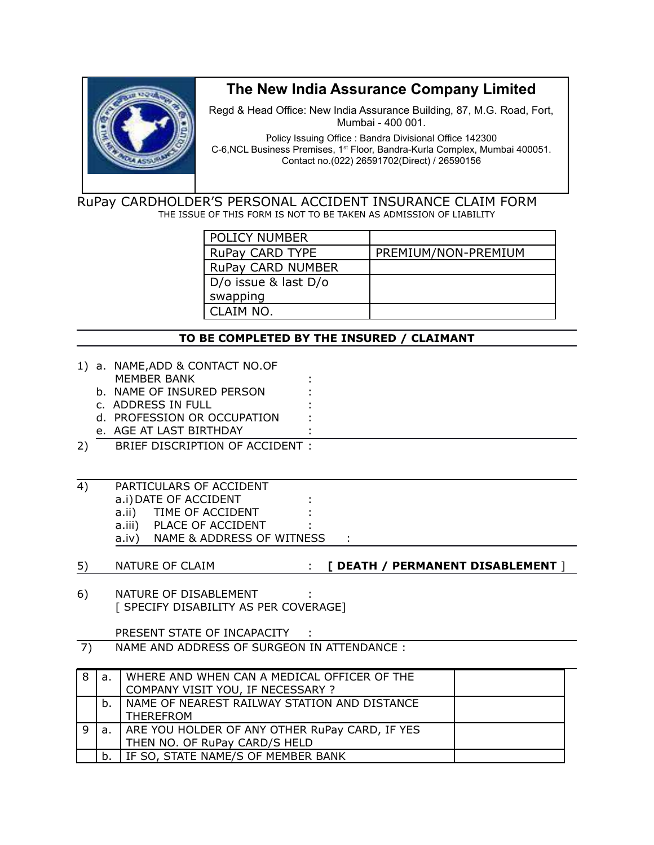

# **The New India Assurance Company Limited**

Regd & Head Office: New India Assurance Building, 87, M.G. Road, Fort, Mumbai - 400 001.

Policy Issuing Office : Bandra Divisional Office 142300 C-6,NCL Business Premises, 1st Floor, Bandra-Kurla Complex, Mumbai 400051. Contact no.(022) 26591702(Direct) / 26590156

RuPay CARDHOLDER'S PERSONAL ACCIDENT INSURANCE CLAIM FORM THE ISSUE OF THIS FORM IS NOT TO BE TAKEN AS ADMISSION OF LIABILITY

| POLICY NUMBER            |                     |
|--------------------------|---------------------|
| <b>RuPay CARD TYPE</b>   | PREMIUM/NON-PREMIUM |
| <b>RuPay CARD NUMBER</b> |                     |
| D/o issue & last D/o     |                     |
| swapping                 |                     |
| CLAIM NO.                |                     |

#### **TO BE COMPLETED BY THE INSURED / CLAIMANT**

|    |                | 1) a. NAME, ADD & CONTACT NO.OF                |                                   |
|----|----------------|------------------------------------------------|-----------------------------------|
|    |                | <b>MEMBER BANK</b>                             |                                   |
|    |                | b. NAME OF INSURED PERSON                      |                                   |
|    |                | c. ADDRESS IN FULL                             |                                   |
|    |                | d. PROFESSION OR OCCUPATION                    |                                   |
|    |                | e. AGE AT LAST BIRTHDAY                        |                                   |
| 2) |                | BRIEF DISCRIPTION OF ACCIDENT :                |                                   |
|    |                |                                                |                                   |
|    |                |                                                |                                   |
| 4) |                | PARTICULARS OF ACCIDENT                        |                                   |
|    |                | a.i) DATE OF ACCIDENT                          |                                   |
|    |                | a.ii) TIME OF ACCIDENT                         |                                   |
|    |                | a.iii) PLACE OF ACCIDENT                       |                                   |
|    |                | a.iv) NAME & ADDRESS OF WITNESS :              |                                   |
|    |                |                                                |                                   |
| 5) |                | NATURE OF CLAIM                                | [ DEATH / PERMANENT DISABLEMENT ] |
|    |                |                                                |                                   |
| 6) |                | NATURE OF DISABLEMENT                          |                                   |
|    |                | [ SPECIFY DISABILITY AS PER COVERAGE]          |                                   |
|    |                | PRESENT STATE OF INCAPACITY :                  |                                   |
| 7) |                | NAME AND ADDRESS OF SURGEON IN ATTENDANCE:     |                                   |
|    |                |                                                |                                   |
| 8  | a.             | WHERE AND WHEN CAN A MEDICAL OFFICER OF THE    |                                   |
|    |                | COMPANY VISIT YOU, IF NECESSARY ?              |                                   |
|    | b.             | NAME OF NEAREST RAILWAY STATION AND DISTANCE   |                                   |
|    |                | <b>THEREFROM</b>                               |                                   |
| 9  | a.             | ARE YOU HOLDER OF ANY OTHER RuPay CARD, IF YES |                                   |
|    |                | THEN NO. OF RuPay CARD/S HELD                  |                                   |
|    | b <sub>1</sub> | IF SO, STATE NAME/S OF MEMBER BANK             |                                   |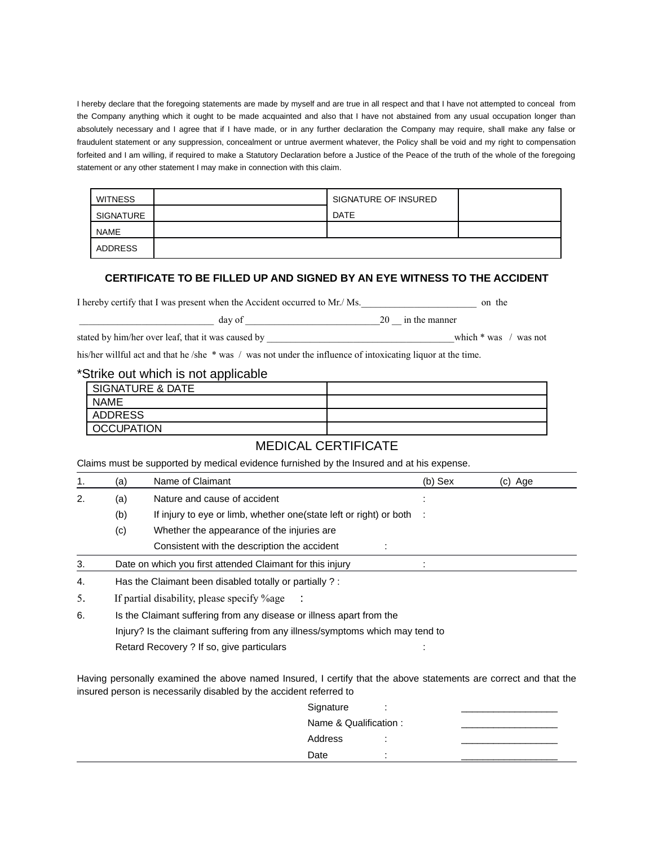I hereby declare that the foregoing statements are made by myself and are true in all respect and that I have not attempted to conceal from the Company anything which it ought to be made acquainted and also that I have not abstained from any usual occupation longer than absolutely necessary and I agree that if I have made, or in any further declaration the Company may require, shall make any false or fraudulent statement or any suppression, concealment or untrue averment whatever, the Policy shall be void and my right to compensation forfeited and I am willing, if required to make a Statutory Declaration before a Justice of the Peace of the truth of the whole of the foregoing statement or any other statement I may make in connection with this claim.

| <b>WITNESS</b> | SIGNATURE OF INSURED |  |
|----------------|----------------------|--|
| SIGNATURE      | <b>DATE</b>          |  |
| NAME           |                      |  |
| ADDRESS        |                      |  |

#### **CERTIFICATE TO BE FILLED UP AND SIGNED BY AN EYE WITNESS TO THE ACCIDENT**

I hereby certify that I was present when the Accident occurred to Mr./ Ms.\_\_\_\_\_\_\_\_\_\_\_\_\_\_\_\_\_\_\_\_\_\_\_\_ on the

| דר<br>ua: | ንስ<br>w<br>$\sim$ | The.<br>-manne<br>. |
|-----------|-------------------|---------------------|
|           |                   |                     |

stated by him/her over leaf, that it was caused by \_\_\_\_\_\_\_\_\_\_\_\_\_\_\_\_\_\_\_\_\_\_\_\_\_\_\_\_\_\_\_\_\_\_which \* was / was not

his/her willful act and that he /she \* was / was not under the influence of intoxicating liquor at the time.

#### \*Strike out which is not applicable

| <b>SIGNATURE &amp; DATE</b> |  |
|-----------------------------|--|
| <b>NAME</b>                 |  |
| ADDRESS                     |  |
| OCCUPATION                  |  |

#### MEDICAL CERTIFICATE

Claims must be supported by medical evidence furnished by the Insured and at his expense.

| 1. | (a)                                                                  | Name of Claimant                                                      | $(b)$ Sex | (c) Age |
|----|----------------------------------------------------------------------|-----------------------------------------------------------------------|-----------|---------|
| 2. | (a)                                                                  | Nature and cause of accident                                          |           |         |
|    | (b)                                                                  | If injury to eye or limb, whether one (state left or right) or both : |           |         |
|    | (c)                                                                  | Whether the appearance of the injuries are                            |           |         |
|    |                                                                      | Consistent with the description the accident                          |           |         |
| 3. | Date on which you first attended Claimant for this injury            |                                                                       |           |         |
| 4. | Has the Claimant been disabled totally or partially ?:               |                                                                       |           |         |
| 5. | If partial disability, please specify %age                           |                                                                       |           |         |
| 6. | Is the Claimant suffering from any disease or illness apart from the |                                                                       |           |         |

Injury? Is the claimant suffering from any illness/symptoms which may tend to

Retard Recovery ? If so, give particulars : in the state of the state of the state of the state of the state o

Having personally examined the above named Insured, I certify that the above statements are correct and that the insured person is necessarily disabled by the accident referred to

| Signature             | ٠ |  |
|-----------------------|---|--|
| Name & Qualification: |   |  |
| Address               | ٠ |  |
| Date                  | ٠ |  |
|                       |   |  |